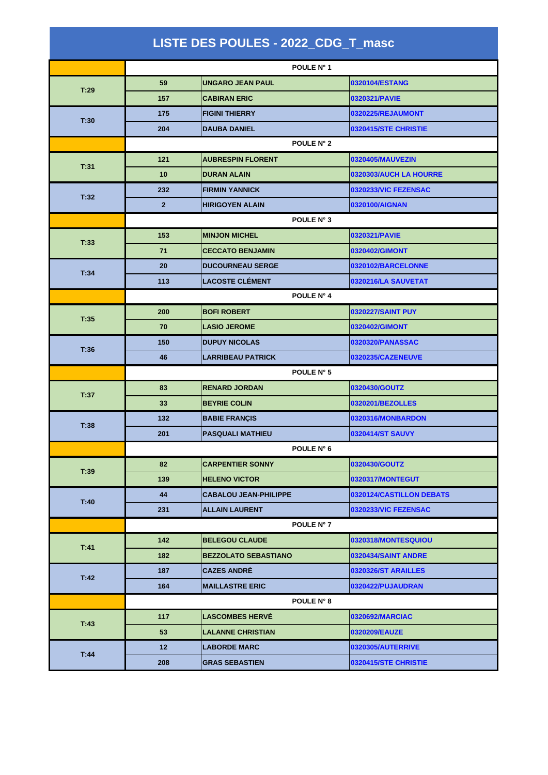| LISTE DES POULES - 2022_CDG_T_masc |                |                              |                             |  |
|------------------------------------|----------------|------------------------------|-----------------------------|--|
|                                    |                | POULE N° 1                   |                             |  |
| T:29                               | 59             | <b>UNGARO JEAN PAUL</b>      | 0320104/ESTANG              |  |
|                                    | 157            | <b>CABIRAN ERIC</b>          | 0320321/PAVIE               |  |
|                                    | 175            | <b>FIGINI THIERRY</b>        | 0320225/REJAUMONT           |  |
| T:30                               | 204            | <b>DAUBA DANIEL</b>          | 0320415/STE CHRISTIE        |  |
|                                    | POULE N° 2     |                              |                             |  |
| T:31                               | 121            | <b>AUBRESPIN FLORENT</b>     | 0320405/MAUVEZIN            |  |
|                                    | 10             | <b>DURAN ALAIN</b>           | 0320303/AUCH LA HOURRE      |  |
| T:32                               | 232            | <b>FIRMIN YANNICK</b>        | 0320233/VIC FEZENSAC        |  |
|                                    | $\overline{2}$ | <b>HIRIGOYEN ALAIN</b>       | 0320100/AIGNAN              |  |
|                                    | POULE N° 3     |                              |                             |  |
| T:33                               | 153            | <b>MINJON MICHEL</b>         | 0320321/PAVIE               |  |
|                                    | 71             | <b>CECCATO BENJAMIN</b>      | 0320402/GIMONT              |  |
| T:34                               | 20             | <b>DUCOURNEAU SERGE</b>      | 0320102/BARCELONNE          |  |
|                                    | 113            | <b>LACOSTE CLÉMENT</b>       | 0320216/LA SAUVETAT         |  |
|                                    |                | POULE N° 4                   |                             |  |
| T:35                               | 200            | <b>BOFI ROBERT</b>           | 0320227/SAINT PUY           |  |
|                                    | 70             | <b>LASIO JEROME</b>          | 0320402/GIMONT              |  |
| T:36                               | 150            | <b>DUPUY NICOLAS</b>         | 0320320/PANASSAC            |  |
|                                    | 46             | <b>LARRIBEAU PATRICK</b>     | 0320235/CAZENEUVE           |  |
|                                    | POULE N° 5     |                              |                             |  |
| T:37                               | 83             | <b>RENARD JORDAN</b>         | 0320430/GOUTZ               |  |
|                                    | 33             | <b>BEYRIE COLIN</b>          | 0320201/BEZOLLES            |  |
| T:38                               | 132            | <b>BABIE FRANÇIS</b>         | 0320316/MONBARDON           |  |
|                                    | 201            | <b>PASQUALI MATHIEU</b>      | 0320414/ST SAUVY            |  |
|                                    |                | POULE N° 6                   |                             |  |
| T:39                               | 82             | <b>CARPENTIER SONNY</b>      | 0320430/GOUTZ               |  |
|                                    | 139            | <b>HELENO VICTOR</b>         | 0320317/MONTEGUT            |  |
| T:40                               | 44             | <b>CABALOU JEAN-PHILIPPE</b> | 0320124/CASTILLON DEBATS    |  |
|                                    | 231            | <b>ALLAIN LAURENT</b>        | 0320233/VIC FEZENSAC        |  |
|                                    |                | <b>POULE N° 7</b>            |                             |  |
| T:41                               | 142            | <b>BELEGOU CLAUDE</b>        | 0320318/MONTESQUIOU         |  |
|                                    | 182            | <b>BEZZOLATO SEBASTIANO</b>  | 0320434/SAINT ANDRE         |  |
| T:42                               | 187            | <b>CAZES ANDRÉ</b>           | 0320326/ST ARAILLES         |  |
|                                    | 164            | <b>MAILLASTRE ERIC</b>       | 0320422/PUJAUDRAN           |  |
|                                    | POULE N° 8     |                              |                             |  |
| T:43                               | 117            | <b>LASCOMBES HERVE</b>       | 0320692/MARCIAC             |  |
|                                    | 53             | <b>LALANNE CHRISTIAN</b>     | 0320209/EAUZE               |  |
| T:44                               | 12             | <b>LABORDE MARC</b>          | <b>0320305/AUTERRIVE</b>    |  |
|                                    | 208            | <b>GRAS SEBASTIEN</b>        | <b>0320415/STE CHRISTIE</b> |  |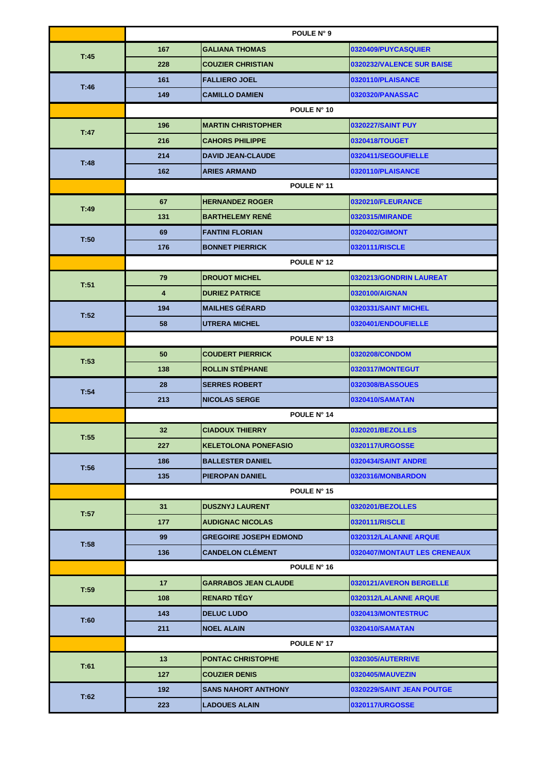|      | POULE N° 9              |                               |                              |  |
|------|-------------------------|-------------------------------|------------------------------|--|
| T:45 | 167                     | <b>GALIANA THOMAS</b>         | 0320409/PUYCASQUIER          |  |
|      | 228                     | <b>COUZIER CHRISTIAN</b>      | 0320232/VALENCE SUR BAISE    |  |
|      | 161                     | <b>FALLIERO JOEL</b>          | 0320110/PLAISANCE            |  |
| T:46 | 149                     | <b>CAMILLO DAMIEN</b>         | 0320320/PANASSAC             |  |
|      |                         | POULE N° 10                   |                              |  |
| T:47 | 196                     | <b>IMARTIN CHRISTOPHER</b>    | 0320227/SAINT PUY            |  |
|      | 216                     | <b>CAHORS PHILIPPE</b>        | 0320418/TOUGET               |  |
|      | 214                     | <b>DAVID JEAN-CLAUDE</b>      | 0320411/SEGOUFIELLE          |  |
| T:48 | 162                     | <b>ARIES ARMAND</b>           | 0320110/PLAISANCE            |  |
|      |                         | POULE N° 11                   |                              |  |
| T:49 | 67                      | <b>HERNANDEZ ROGER</b>        | 0320210/FLEURANCE            |  |
|      | 131                     | <b>BARTHELEMY RENÉ</b>        | 0320315/MIRANDE              |  |
| T:50 | 69                      | <b>FANTINI FLORIAN</b>        | 0320402/GIMONT               |  |
|      | 176                     | <b>BONNET PIERRICK</b>        | 0320111/RISCLE               |  |
|      |                         | POULE N° 12                   |                              |  |
| T:51 | 79                      | <b>DROUOT MICHEL</b>          | 0320213/GONDRIN LAUREAT      |  |
|      | $\overline{\mathbf{4}}$ | <b>DURIEZ PATRICE</b>         | 0320100/AIGNAN               |  |
| T:52 | 194                     | <b>MAILHES GÉRARD</b>         | 0320331/SAINT MICHEL         |  |
|      | 58                      | <b>UTRERA MICHEL</b>          | 0320401/ENDOUFIELLE          |  |
|      | POULE N° 13             |                               |                              |  |
| T:53 | 50                      | <b>COUDERT PIERRICK</b>       | 0320208/CONDOM               |  |
|      | 138                     | <b>ROLLIN STÉPHANE</b>        | 0320317/MONTEGUT             |  |
| T:54 | 28                      | <b>SERRES ROBERT</b>          | 0320308/BASSOUES             |  |
|      | 213                     | <b>NICOLAS SERGE</b>          | 0320410/SAMATAN              |  |
|      | POULE N° 14             |                               |                              |  |
| T:55 | 32                      | <b>CIADOUX THIERRY</b>        | 0320201/BEZOLLES             |  |
|      | 227                     | <b>KELETOLONA PONEFASIO</b>   | 0320117/URGOSSE              |  |
| T:56 | 186                     | <b>BALLESTER DANIEL</b>       | 0320434/SAINT ANDRE          |  |
|      | 135                     | <b>PIEROPAN DANIEL</b>        | 0320316/MONBARDON            |  |
|      | POULE N° 15             |                               |                              |  |
| T:57 | 31                      | <b>DUSZNYJ LAURENT</b>        | 0320201/BEZOLLES             |  |
|      | 177                     | <b>AUDIGNAC NICOLAS</b>       | 0320111/RISCLE               |  |
| T:58 | 99                      | <b>GREGOIRE JOSEPH EDMOND</b> | 0320312/LALANNE ARQUE        |  |
|      | 136                     | <b>CANDELON CLÉMENT</b>       | 0320407/MONTAUT LES CRENEAUX |  |
|      | POULE N° 16             |                               |                              |  |
| T:59 | 17                      | <b>GARRABOS JEAN CLAUDE</b>   | 0320121/AVERON BERGELLE      |  |
|      | 108                     | <b>RENARD TEGY</b>            | 0320312/LALANNE ARQUE        |  |
| T:60 | 143                     | <b>DELUC LUDO</b>             | 0320413/MONTESTRUC           |  |
|      | 211                     | <b>NOEL ALAIN</b>             | 0320410/SAMATAN              |  |
|      | POULE N° 17             |                               |                              |  |
| T:61 | 13                      | <b>PONTAC CHRISTOPHE</b>      | 0320305/AUTERRIVE            |  |
|      | 127                     | <b>COUZIER DENIS</b>          | 0320405/MAUVEZIN             |  |
| T:62 | 192                     | <b>SANS NAHORT ANTHONY</b>    | 0320229/SAINT JEAN POUTGE    |  |
|      | 223                     | <b>LADOUES ALAIN</b>          | 0320117/URGOSSE              |  |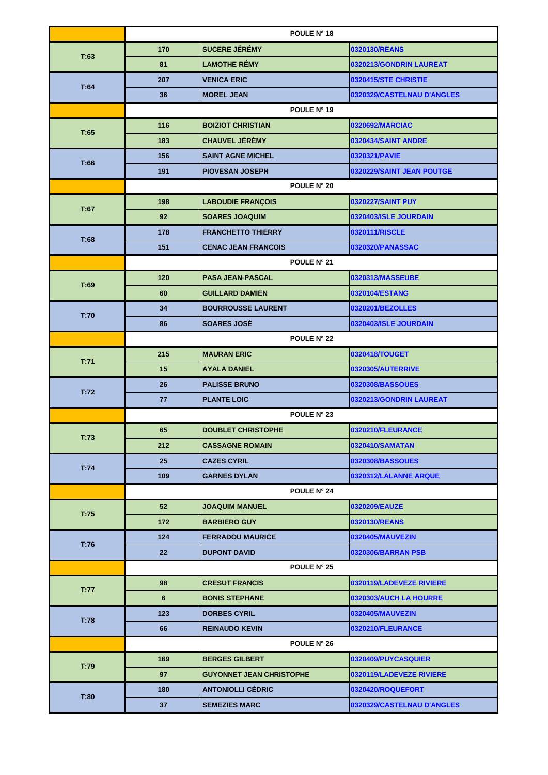|      | POULE N° 18     |                                 |                            |  |
|------|-----------------|---------------------------------|----------------------------|--|
| T:63 | 170             | <b>SUCERE JÉRÉMY</b>            | 0320130/REANS              |  |
|      | 81              | <b>LAMOTHE RÉMY</b>             | 0320213/GONDRIN LAUREAT    |  |
| T:64 | 207             | <b>VENICA ERIC</b>              | 0320415/STE CHRISTIE       |  |
|      | 36              | <b>MOREL JEAN</b>               | 0320329/CASTELNAU D'ANGLES |  |
|      | POULE N° 19     |                                 |                            |  |
| T:65 | 116             | <b>BOIZIOT CHRISTIAN</b>        | 0320692/MARCIAC            |  |
|      | 183             | <b>CHAUVEL JÉRÉMY</b>           | 0320434/SAINT ANDRE        |  |
|      | 156             | <b>SAINT AGNE MICHEL</b>        | 0320321/PAVIE              |  |
| T:66 | 191             | <b>PIOVESAN JOSEPH</b>          | 0320229/SAINT JEAN POUTGE  |  |
|      |                 | POULE N° 20                     |                            |  |
| T:67 | 198             | <b>LABOUDIE FRANÇOIS</b>        | 0320227/SAINT PUY          |  |
|      | 92              | <b>SOARES JOAQUIM</b>           | 0320403/ISLE JOURDAIN      |  |
| T:68 | 178             | <b>FRANCHETTO THIERRY</b>       | 0320111/RISCLE             |  |
|      | 151             | <b>CENAC JEAN FRANCOIS</b>      | 0320320/PANASSAC           |  |
|      |                 | POULE N° 21                     |                            |  |
|      | 120             | <b>PASA JEAN-PASCAL</b>         | 0320313/MASSEUBE           |  |
| T:69 | 60              | <b>GUILLARD DAMIEN</b>          | 0320104/ESTANG             |  |
| T:70 | 34              | <b>BOURROUSSE LAURENT</b>       | 0320201/BEZOLLES           |  |
|      | 86              | <b>SOARES JOSÉ</b>              | 0320403/ISLE JOURDAIN      |  |
|      | POULE N° 22     |                                 |                            |  |
|      | 215             | <b>MAURAN ERIC</b>              | 0320418/TOUGET             |  |
| T:71 | 15              | <b>AYALA DANIEL</b>             | 0320305/AUTERRIVE          |  |
| T:72 | 26              | <b>PALISSE BRUNO</b>            | 0320308/BASSOUES           |  |
|      | 77              | <b>PLANTE LOIC</b>              | 0320213/GONDRIN LAUREAT    |  |
|      | POULE N° 23     |                                 |                            |  |
|      | 65              | <b>DOUBLET CHRISTOPHE</b>       | 0320210/FLEURANCE          |  |
| T:73 | 212             | <b>CASSAGNE ROMAIN</b>          | 0320410/SAMATAN            |  |
| T:74 | 25              | <b>CAZES CYRIL</b>              | 0320308/BASSOUES           |  |
|      | 109             | <b>GARNES DYLAN</b>             | 0320312/LALANNE ARQUE      |  |
|      | POULE N° 24     |                                 |                            |  |
| T:75 | 52 <sub>2</sub> | <b>JOAQUIM MANUEL</b>           | 0320209/EAUZE              |  |
|      | 172             | <b>BARBIERO GUY</b>             | 0320130/REANS              |  |
| T:76 | 124             | <b>FERRADOU MAURICE</b>         | 0320405/MAUVEZIN           |  |
|      | 22              | <b>DUPONT DAVID</b>             | 0320306/BARRAN PSB         |  |
|      |                 | POULE N° 25                     |                            |  |
| T:77 | 98              | <b>CRESUT FRANCIS</b>           | 0320119/LADEVEZE RIVIERE   |  |
|      | 6               | <b>BONIS STEPHANE</b>           | 0320303/AUCH LA HOURRE     |  |
| T:78 | 123             | <b>DORBES CYRIL</b>             | 0320405/MAUVEZIN           |  |
|      | 66              | <b>REINAUDO KEVIN</b>           | 0320210/FLEURANCE          |  |
|      |                 | POULE N° 26                     |                            |  |
| T:79 | 169             | <b>BERGES GILBERT</b>           | 0320409/PUYCASQUIER        |  |
|      | 97              | <b>GUYONNET JEAN CHRISTOPHE</b> | 0320119/LADEVEZE RIVIERE   |  |
| T:80 | 180             | <b>ANTONIOLLI CEDRIC</b>        | 0320420/ROQUEFORT          |  |
|      | 37              | <b>SEMEZIES MARC</b>            | 0320329/CASTELNAU D'ANGLES |  |
|      |                 |                                 |                            |  |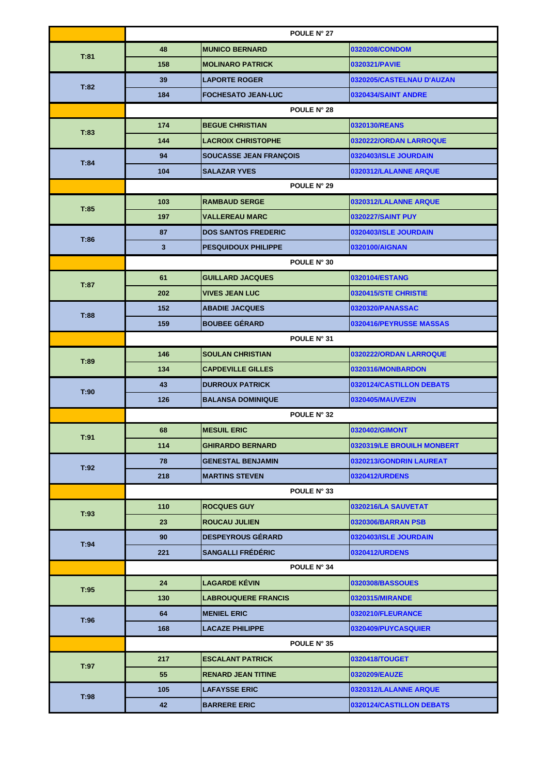|      | POULE N° 27 |                               |                            |  |
|------|-------------|-------------------------------|----------------------------|--|
|      | 48          | <b>MUNICO BERNARD</b>         | 0320208/CONDOM             |  |
| T:81 | 158         | <b>MOLINARO PATRICK</b>       | 0320321/PAVIE              |  |
|      | 39          | <b>LAPORTE ROGER</b>          | 0320205/CASTELNAU D'AUZAN  |  |
| T:82 | 184         | <b>FOCHESATO JEAN-LUC</b>     | 0320434/SAINT ANDRE        |  |
|      |             | POULE N° 28                   |                            |  |
| T:83 | 174         | <b>BEGUE CHRISTIAN</b>        | 0320130/REANS              |  |
|      | 144         | <b>LACROIX CHRISTOPHE</b>     | 0320222/ORDAN LARROQUE     |  |
|      | 94          | <b>SOUCASSE JEAN FRANÇOIS</b> | 0320403/ISLE JOURDAIN      |  |
| T:84 | 104         | <b>SALAZAR YVES</b>           | 0320312/LALANNE ARQUE      |  |
|      |             | POULE N° 29                   |                            |  |
| T:85 | 103         | <b>RAMBAUD SERGE</b>          | 0320312/LALANNE ARQUE      |  |
|      | 197         | <b>VALLEREAU MARC</b>         | <b>0320227/SAINT PUY</b>   |  |
|      | 87          | <b>DOS SANTOS FREDERIC</b>    | 0320403/ISLE JOURDAIN      |  |
| T:86 | 3           | <b>PESQUIDOUX PHILIPPE</b>    | 0320100/AIGNAN             |  |
|      |             | POULE N° 30                   |                            |  |
|      | 61          | <b>GUILLARD JACQUES</b>       | 0320104/ESTANG             |  |
| T:87 | 202         | <b>VIVES JEAN LUC</b>         | 0320415/STE CHRISTIE       |  |
|      | 152         | <b>ABADIE JACQUES</b>         | 0320320/PANASSAC           |  |
| T:88 | 159         | <b>BOUBEE GÉRARD</b>          | 0320416/PEYRUSSE MASSAS    |  |
|      | POULE N° 31 |                               |                            |  |
|      | 146         | <b>SOULAN CHRISTIAN</b>       | 0320222/ORDAN LARROQUE     |  |
| T:89 | 134         | <b>CAPDEVILLE GILLES</b>      | 0320316/MONBARDON          |  |
| T:90 | 43          | <b>DURROUX PATRICK</b>        | 0320124/CASTILLON DEBATS   |  |
|      | 126         | <b>BALANSA DOMINIQUE</b>      | 0320405/MAUVEZIN           |  |
|      | POULE N° 32 |                               |                            |  |
| T:91 | 68          | <b>MESUIL ERIC</b>            | 0320402/GIMONT             |  |
|      | 114         | <b>GHIRARDO BERNARD</b>       | 0320319/LE BROUILH MONBERT |  |
| T:92 | 78          | <b>GENESTAL BENJAMIN</b>      | 0320213/GONDRIN LAUREAT    |  |
|      | 218         | <b>MARTINS STEVEN</b>         | 0320412/URDENS             |  |
|      | POULE N° 33 |                               |                            |  |
| T:93 | 110         | <b>ROCQUES GUY</b>            | 0320216/LA SAUVETAT        |  |
|      | 23          | <b>ROUCAU JULIEN</b>          | 0320306/BARRAN PSB         |  |
| T:94 | 90          | <b>DESPEYROUS GÉRARD</b>      | 0320403/ISLE JOURDAIN      |  |
|      | 221         | <b>SANGALLI FRÉDÉRIC</b>      | 0320412/URDENS             |  |
|      | POULE N° 34 |                               |                            |  |
| T:95 | 24          | <b>LAGARDE KËVIN</b>          | 0320308/BASSOUES           |  |
|      | 130         | <b>LABROUQUERE FRANCIS</b>    | 0320315/MIRANDE            |  |
| T:96 | 64          | <b>MENIEL ERIC</b>            | 0320210/FLEURANCE          |  |
|      | 168         | <b>LACAZE PHILIPPE</b>        | 0320409/PUYCASQUIER        |  |
|      | POULE N° 35 |                               |                            |  |
| T:97 | 217         | <b>ESCALANT PATRICK</b>       | 0320418/TOUGET             |  |
|      | 55          | <b>RENARD JEAN TITINE</b>     | 0320209/EAUZE              |  |
| T:98 | 105         | <b>LAFAYSSE ERIC</b>          | 0320312/LALANNE ARQUE      |  |
|      | 42          | <b>BARRERE ERIC</b>           | 0320124/CASTILLON DEBATS   |  |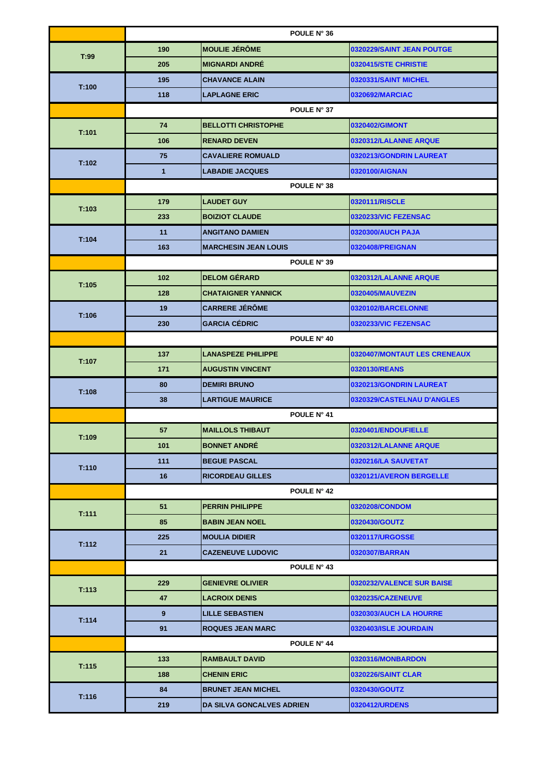|       | POULE N° 36  |                             |                              |  |
|-------|--------------|-----------------------------|------------------------------|--|
|       | 190          | <b>MOULIE JÉRÔME</b>        | 0320229/SAINT JEAN POUTGE    |  |
| T:99  | 205          | <b>MIGNARDI ANDRÉ</b>       | 0320415/STE CHRISTIE         |  |
| T:100 | 195          | <b>CHAVANCE ALAIN</b>       | 0320331/SAINT MICHEL         |  |
|       | 118          | <b>LAPLAGNE ERIC</b>        | 0320692/MARCIAC              |  |
|       |              | POULE N° 37                 |                              |  |
| T:101 | 74           | <b>BELLOTTI CHRISTOPHE</b>  | 0320402/GIMONT               |  |
|       | 106          | <b>RENARD DEVEN</b>         | 0320312/LALANNE ARQUE        |  |
|       | 75           | <b>CAVALIERE ROMUALD</b>    | 0320213/GONDRIN LAUREAT      |  |
| T:102 | $\mathbf{1}$ | <b>LABADIE JACQUES</b>      | 0320100/AIGNAN               |  |
|       |              | POULE N° 38                 |                              |  |
|       | 179          | <b>LAUDET GUY</b>           | 0320111/RISCLE               |  |
| T:103 | 233          | <b>BOIZIOT CLAUDE</b>       | 0320233/VIC FEZENSAC         |  |
|       | 11           | <b>ANGITANO DAMIEN</b>      | 0320300/AUCH PAJA            |  |
| T:104 | 163          | <b>MARCHESIN JEAN LOUIS</b> | 0320408/PREIGNAN             |  |
|       |              | POULE N° 39                 |                              |  |
| T:105 | 102          | <b>DELOM GÉRARD</b>         | 0320312/LALANNE ARQUE        |  |
|       | 128          | <b>CHATAIGNER YANNICK</b>   | 0320405/MAUVEZIN             |  |
| T:106 | 19           | <b>CARRERE JEROME</b>       | 0320102/BARCELONNE           |  |
|       | 230          | <b>GARCIA CÉDRIC</b>        | 0320233/VIC FEZENSAC         |  |
|       | POULE N° 40  |                             |                              |  |
| T:107 | 137          | <b>LANASPEZE PHILIPPE</b>   | 0320407/MONTAUT LES CRENEAUX |  |
|       | 171          | <b>AUGUSTIN VINCENT</b>     | 0320130/REANS                |  |
| T:108 | 80           | <b>DEMIRI BRUNO</b>         | 0320213/GONDRIN LAUREAT      |  |
|       | 38           | <b>LARTIGUE MAURICE</b>     | 0320329/CASTELNAU D'ANGLES   |  |
|       | POULE N° 41  |                             |                              |  |
| T:109 | 57           | <b>MAILLOLS THIBAUT</b>     | 0320401/ENDOUFIELLE          |  |
|       | 101          | <b>BONNET ANDRÉ</b>         | 0320312/LALANNE ARQUE        |  |
| T:110 | 111          | <b>BEGUE PASCAL</b>         | 0320216/LA SAUVETAT          |  |
|       | 16           | <b>RICORDEAU GILLES</b>     | 0320121/AVERON BERGELLE      |  |
|       | POULE N° 42  |                             |                              |  |
| T:111 | 51           | <b>PERRIN PHILIPPE</b>      | 0320208/CONDOM               |  |
|       | 85           | <b>BABIN JEAN NOEL</b>      | 0320430/GOUTZ                |  |
| T:112 | 225          | <b>MOULIA DIDIER</b>        | 0320117/URGOSSE              |  |
|       | 21           | <b>CAZENEUVE LUDOVIC</b>    | 0320307/BARRAN               |  |
|       |              | POULE N° 43                 |                              |  |
| T:113 | 229          | <b>GENIEVRE OLIVIER</b>     | 0320232/VALENCE SUR BAISE    |  |
|       | 47           | <b>LACROIX DENIS</b>        | 0320235/CAZENEUVE            |  |
| T:114 | 9            | <b>LILLE SEBASTIEN</b>      | 0320303/AUCH LA HOURRE       |  |
|       | 91           | <b>ROQUES JEAN MARC</b>     | 0320403/ISLE JOURDAIN        |  |
|       |              | POULE N° 44                 |                              |  |
| T:115 | 133          | <b>RAMBAULT DAVID</b>       | 0320316/MONBARDON            |  |
|       | 188          | <b>CHENIN ERIC</b>          | <b>0320226/SAINT CLAR</b>    |  |
| T:116 | 84           | <b>BRUNET JEAN MICHEL</b>   | 0320430/GOUTZ                |  |
|       | 219          | DA SILVA GONCALVES ADRIEN   | 0320412/URDENS               |  |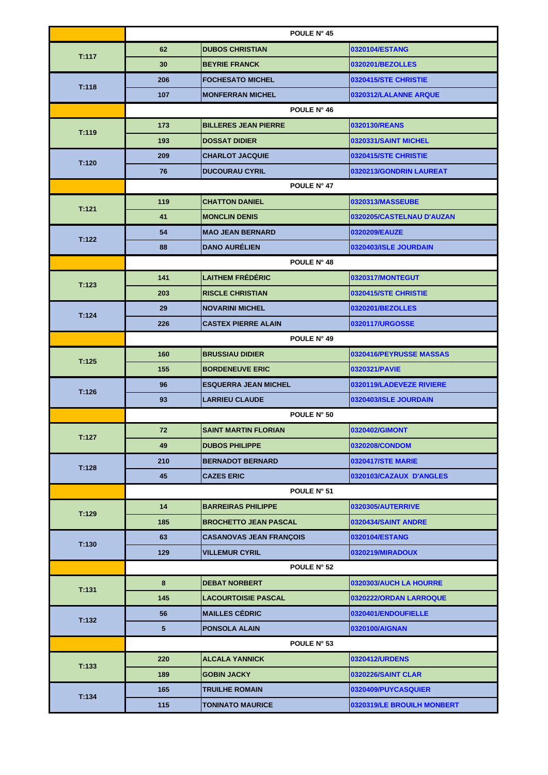|       | POULE N° 45     |                                |                            |  |
|-------|-----------------|--------------------------------|----------------------------|--|
|       | 62              | <b>DUBOS CHRISTIAN</b>         | 0320104/ESTANG             |  |
| T:117 | 30              | <b>BEYRIE FRANCK</b>           | 0320201/BEZOLLES           |  |
|       | 206             | <b>FOCHESATO MICHEL</b>        | 0320415/STE CHRISTIE       |  |
| T:118 | 107             | <b>MONFERRAN MICHEL</b>        | 0320312/LALANNE ARQUE      |  |
|       |                 | POULE N° 46                    |                            |  |
|       | 173             | <b>BILLERES JEAN PIERRE</b>    | 0320130/REANS              |  |
| T:119 | 193             | <b>DOSSAT DIDIER</b>           | 0320331/SAINT MICHEL       |  |
|       | 209             | <b>CHARLOT JACQUIE</b>         | 0320415/STE CHRISTIE       |  |
| T:120 | 76              | <b>DUCOURAU CYRIL</b>          | 0320213/GONDRIN LAUREAT    |  |
|       | POULE N° 47     |                                |                            |  |
| T:121 | 119             | <b>CHATTON DANIEL</b>          | 0320313/MASSEUBE           |  |
|       | 41              | <b>MONCLIN DENIS</b>           | 0320205/CASTELNAU D'AUZAN  |  |
| T:122 | 54              | <b>MAO JEAN BERNARD</b>        | 0320209/EAUZE              |  |
|       | 88              | <b>DANO AURÉLIEN</b>           | 0320403/ISLE JOURDAIN      |  |
|       |                 | POULE N° 48                    |                            |  |
| T:123 | 141             | <b>LAITHEM FRÉDÉRIC</b>        | 0320317/MONTEGUT           |  |
|       | 203             | <b>RISCLE CHRISTIAN</b>        | 0320415/STE CHRISTIE       |  |
|       | 29              | <b>NOVARINI MICHEL</b>         | 0320201/BEZOLLES           |  |
| T:124 | 226             | <b>CASTEX PIERRE ALAIN</b>     | 0320117/URGOSSE            |  |
|       | POULE N° 49     |                                |                            |  |
| T:125 | 160             | <b>BRUSSIAU DIDIER</b>         | 0320416/PEYRUSSE MASSAS    |  |
|       | 155             | <b>BORDENEUVE ERIC</b>         | 0320321/PAVIE              |  |
| T:126 | 96              | <b>ESQUERRA JEAN MICHEL</b>    | 0320119/LADEVEZE RIVIERE   |  |
|       | 93              | <b>LARRIEU CLAUDE</b>          | 0320403/ISLE JOURDAIN      |  |
|       | POULE N° 50     |                                |                            |  |
| T:127 | 72              | <b>SAINT MARTIN FLORIAN</b>    | 0320402/GIMONT             |  |
|       | 49              | <b>DUBOS PHILIPPE</b>          | 0320208/CONDOM             |  |
| T:128 | 210             | <b>BERNADOT BERNARD</b>        | <b>0320417/STE MARIE</b>   |  |
|       | 45              | <b>CAZES ERIC</b>              | 0320103/CAZAUX D'ANGLES    |  |
|       | POULE N° 51     |                                |                            |  |
| T:129 | 14              | <b>BARREIRAS PHILIPPE</b>      | 0320305/AUTERRIVE          |  |
|       | 185             | <b>BROCHETTO JEAN PASCAL</b>   | 0320434/SAINT ANDRE        |  |
| T:130 | 63              | <b>CASANOVAS JEAN FRANÇOIS</b> | 0320104/ESTANG             |  |
|       | 129             | <b>VILLEMUR CYRIL</b>          | 0320219/MIRADOUX           |  |
|       | POULE N° 52     |                                |                            |  |
| T:131 | 8               | <b>DEBAT NORBERT</b>           | 0320303/AUCH LA HOURRE     |  |
|       | 145             | <b>LACOURTOISIE PASCAL</b>     | 0320222/ORDAN LARROQUE     |  |
| T:132 | 56              | <b>MAILLES CÉDRIC</b>          | 0320401/ENDOUFIELLE        |  |
|       | $5\phantom{.0}$ | <b>PONSOLA ALAIN</b>           | 0320100/AIGNAN             |  |
|       |                 | POULE N° 53                    |                            |  |
| T:133 | 220             | <b>ALCALA YANNICK</b>          | 0320412/URDENS             |  |
|       | 189             | <b>GOBIN JACKY</b>             | 0320226/SAINT CLAR         |  |
| T:134 | 165             | <b>TRUILHE ROMAIN</b>          | 0320409/PUYCASQUIER        |  |
|       | 115             | <b>TONINATO MAURICE</b>        | 0320319/LE BROUILH MONBERT |  |